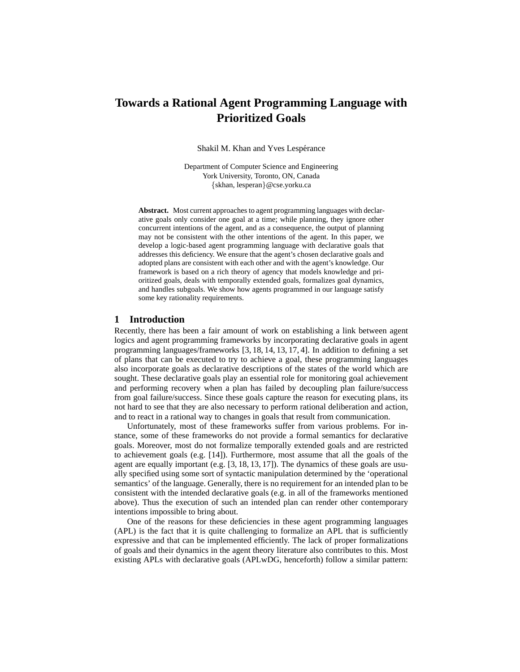# **Towards a Rational Agent Programming Language with Prioritized Goals**

Shakil M. Khan and Yves Lespérance

Department of Computer Science and Engineering York University, Toronto, ON, Canada {skhan, lesperan}@cse.yorku.ca

**Abstract.** Most current approaches to agent programming languages with declarative goals only consider one goal at a time; while planning, they ignore other concurrent intentions of the agent, and as a consequence, the output of planning may not be consistent with the other intentions of the agent. In this paper, we develop a logic-based agent programming language with declarative goals that addresses this deficiency. We ensure that the agent's chosen declarative goals and adopted plans are consistent with each other and with the agent's knowledge. Our framework is based on a rich theory of agency that models knowledge and prioritized goals, deals with temporally extended goals, formalizes goal dynamics, and handles subgoals. We show how agents programmed in our language satisfy some key rationality requirements.

# **1 Introduction**

Recently, there has been a fair amount of work on establishing a link between agent logics and agent programming frameworks by incorporating declarative goals in agent programming languages/frameworks [3, 18, 14, 13, 17, 4]. In addition to defining a set of plans that can be executed to try to achieve a goal, these programming languages also incorporate goals as declarative descriptions of the states of the world which are sought. These declarative goals play an essential role for monitoring goal achievement and performing recovery when a plan has failed by decoupling plan failure/success from goal failure/success. Since these goals capture the reason for executing plans, its not hard to see that they are also necessary to perform rational deliberation and action, and to react in a rational way to changes in goals that result from communication.

Unfortunately, most of these frameworks suffer from various problems. For instance, some of these frameworks do not provide a formal semantics for declarative goals. Moreover, most do not formalize temporally extended goals and are restricted to achievement goals (e.g. [14]). Furthermore, most assume that all the goals of the agent are equally important (e.g. [3, 18, 13, 17]). The dynamics of these goals are usually specified using some sort of syntactic manipulation determined by the 'operational semantics' of the language. Generally, there is no requirement for an intended plan to be consistent with the intended declarative goals (e.g. in all of the frameworks mentioned above). Thus the execution of such an intended plan can render other contemporary intentions impossible to bring about.

One of the reasons for these deficiencies in these agent programming languages (APL) is the fact that it is quite challenging to formalize an APL that is sufficiently expressive and that can be implemented efficiently. The lack of proper formalizations of goals and their dynamics in the agent theory literature also contributes to this. Most existing APLs with declarative goals (APLwDG, henceforth) follow a similar pattern: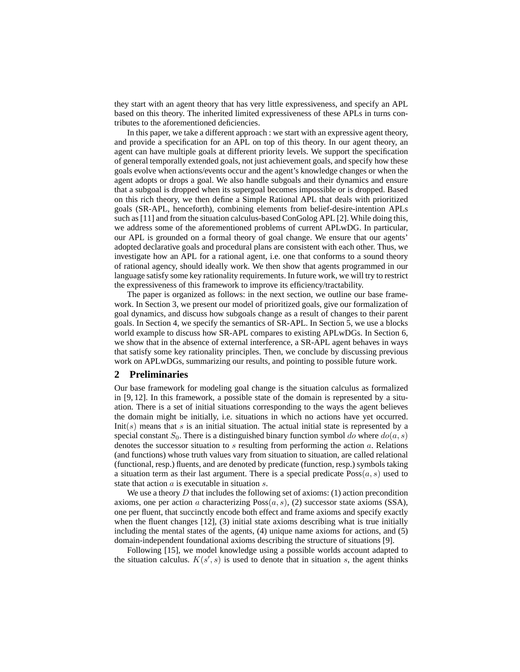they start with an agent theory that has very little expressiveness, and specify an APL based on this theory. The inherited limited expressiveness of these APLs in turns contributes to the aforementioned deficiencies.

In this paper, we take a different approach : we start with an expressive agent theory, and provide a specification for an APL on top of this theory. In our agent theory, an agent can have multiple goals at different priority levels. We support the specification of general temporally extended goals, not just achievement goals, and specify how these goals evolve when actions/events occur and the agent's knowledge changes or when the agent adopts or drops a goal. We also handle subgoals and their dynamics and ensure that a subgoal is dropped when its supergoal becomes impossible or is dropped. Based on this rich theory, we then define a Simple Rational APL that deals with prioritized goals (SR-APL, henceforth), combining elements from belief-desire-intention APLs such as [11] and from the situation calculus-based ConGolog APL [2]. While doing this, we address some of the aforementioned problems of current APLwDG. In particular, our APL is grounded on a formal theory of goal change. We ensure that our agents' adopted declarative goals and procedural plans are consistent with each other. Thus, we investigate how an APL for a rational agent, i.e. one that conforms to a sound theory of rational agency, should ideally work. We then show that agents programmed in our language satisfy some key rationality requirements. In future work, we will try to restrict the expressiveness of this framework to improve its efficiency/tractability.

The paper is organized as follows: in the next section, we outline our base framework. In Section 3, we present our model of prioritized goals, give our formalization of goal dynamics, and discuss how subgoals change as a result of changes to their parent goals. In Section 4, we specify the semantics of SR-APL. In Section 5, we use a blocks world example to discuss how SR-APL compares to existing APLwDGs. In Section 6, we show that in the absence of external interference, a SR-APL agent behaves in ways that satisfy some key rationality principles. Then, we conclude by discussing previous work on APLwDGs, summarizing our results, and pointing to possible future work.

#### **2 Preliminaries**

Our base framework for modeling goal change is the situation calculus as formalized in [9, 12]. In this framework, a possible state of the domain is represented by a situation. There is a set of initial situations corresponding to the ways the agent believes the domain might be initially, i.e. situations in which no actions have yet occurred.  $Init(s)$  means that s is an initial situation. The actual initial state is represented by a special constant  $S_0$ . There is a distinguished binary function symbol do where  $do(a, s)$ denotes the successor situation to s resulting from performing the action a. Relations (and functions) whose truth values vary from situation to situation, are called relational (functional, resp.) fluents, and are denoted by predicate (function, resp.) symbols taking a situation term as their last argument. There is a special predicate  $Poss(a, s)$  used to state that action a is executable in situation s.

We use a theory  $D$  that includes the following set of axioms: (1) action precondition axioms, one per action a characterizing  $Poss(a, s)$ , (2) successor state axioms (SSA), one per fluent, that succinctly encode both effect and frame axioms and specify exactly when the fluent changes [12], (3) initial state axioms describing what is true initially including the mental states of the agents, (4) unique name axioms for actions, and (5) domain-independent foundational axioms describing the structure of situations [9].

Following [15], we model knowledge using a possible worlds account adapted to the situation calculus.  $K(s', s)$  is used to denote that in situation s, the agent thinks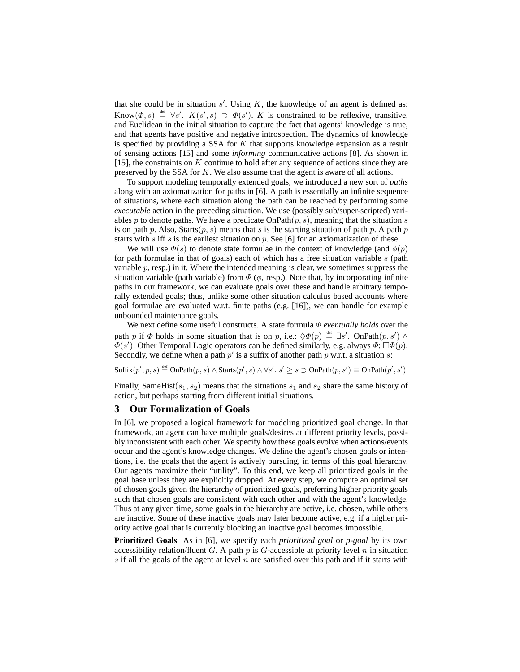that she could be in situation  $s'$ . Using  $K$ , the knowledge of an agent is defined as: Know $(\Phi, s) \stackrel{\text{def}}{=} \forall s'$ .  $K(s', s) \supset \Phi(s')$ . K is constrained to be reflexive, transitive, and Euclidean in the initial situation to capture the fact that agents' knowledge is true, and that agents have positive and negative introspection. The dynamics of knowledge is specified by providing a SSA for  $K$  that supports knowledge expansion as a result of sensing actions [15] and some *informing* communicative actions [8]. As shown in [15], the constraints on  $K$  continue to hold after any sequence of actions since they are preserved by the SSA for K. We also assume that the agent is aware of all actions.

To support modeling temporally extended goals, we introduced a new sort of *paths* along with an axiomatization for paths in [6]. A path is essentially an infinite sequence of situations, where each situation along the path can be reached by performing some *executable* action in the preceding situation. We use (possibly sub/super-scripted) variables p to denote paths. We have a predicate  $OnPath(p, s)$ , meaning that the situation s is on path p. Also, Starts $(p, s)$  means that s is the starting situation of path p. A path p starts with s iff s is the earliest situation on p. See [6] for an axiomatization of these.

We will use  $\Phi(s)$  to denote state formulae in the context of knowledge (and  $\phi(p)$ ) for path formulae in that of goals) each of which has a free situation variable  $s$  (path variable  $p$ , resp.) in it. Where the intended meaning is clear, we sometimes suppress the situation variable (path variable) from  $\Phi$  ( $\phi$ , resp.). Note that, by incorporating infinite paths in our framework, we can evaluate goals over these and handle arbitrary temporally extended goals; thus, unlike some other situation calculus based accounts where goal formulae are evaluated w.r.t. finite paths (e.g. [16]), we can handle for example unbounded maintenance goals.

We next define some useful constructs. A state formula Φ *eventually holds* over the path p if  $\Phi$  holds in some situation that is on p, i.e.:  $\Diamond \Phi(p) \stackrel{\text{def}}{=} \exists s'$ . OnPath $(p, s') \land$  $\overline{\Phi}(s')$ . Other Temporal Logic operators can be defined similarly, e.g. always  $\Phi: \Box \Phi(p)$ . Secondly, we define when a path  $p'$  is a suffix of another path p w.r.t. a situation s:

 $\text{Suffix}(p',p,s) \stackrel{\text{def}}{=} \text{OnPath}(p,s) \land \text{Starts}(p',s) \land \forall s'. s' \geq s \supset \text{OnPath}(p,s') \equiv \text{OnPath}(p',s').$ 

Finally, SameHist( $s_1, s_2$ ) means that the situations  $s_1$  and  $s_2$  share the same history of action, but perhaps starting from different initial situations.

#### **3 Our Formalization of Goals**

In [6], we proposed a logical framework for modeling prioritized goal change. In that framework, an agent can have multiple goals/desires at different priority levels, possibly inconsistent with each other. We specify how these goals evolve when actions/events occur and the agent's knowledge changes. We define the agent's chosen goals or intentions, i.e. the goals that the agent is actively pursuing, in terms of this goal hierarchy. Our agents maximize their "utility". To this end, we keep all prioritized goals in the goal base unless they are explicitly dropped. At every step, we compute an optimal set of chosen goals given the hierarchy of prioritized goals, preferring higher priority goals such that chosen goals are consistent with each other and with the agent's knowledge. Thus at any given time, some goals in the hierarchy are active, i.e. chosen, while others are inactive. Some of these inactive goals may later become active, e.g. if a higher priority active goal that is currently blocking an inactive goal becomes impossible.

**Prioritized Goals** As in [6], we specify each *prioritized goal* or *p-goal* by its own accessibility relation/fluent G. A path  $p$  is G-accessible at priority level  $n$  in situation s if all the goals of the agent at level n are satisfied over this path and if it starts with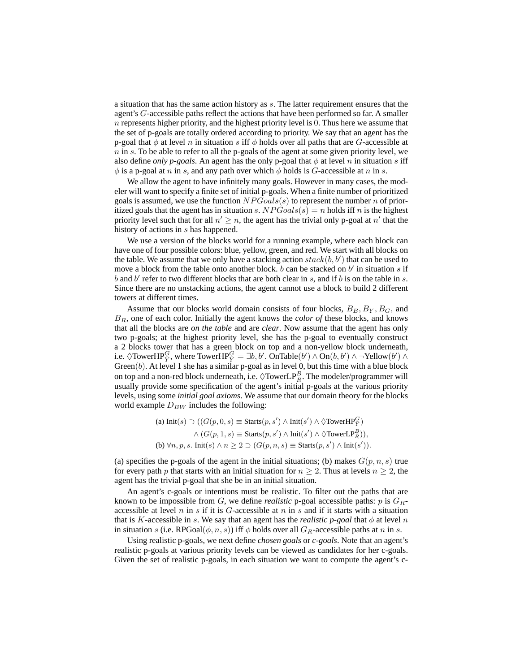a situation that has the same action history as s. The latter requirement ensures that the agent's G-accessible paths reflect the actions that have been performed so far. A smaller  $n$  represents higher priority, and the highest priority level is 0. Thus here we assume that the set of p-goals are totally ordered according to priority. We say that an agent has the p-goal that  $\phi$  at level n in situation s iff  $\phi$  holds over all paths that are G-accessible at  $n$  in s. To be able to refer to all the p-goals of the agent at some given priority level, we also define *only p-goals*. An agent has the only p-goal that  $\phi$  at level n in situation s iff  $\phi$  is a p-goal at n in s, and any path over which  $\phi$  holds is G-accessible at n in s.

We allow the agent to have infinitely many goals. However in many cases, the modeler will want to specify a finite set of initial p-goals. When a finite number of prioritized goals is assumed, we use the function  $NPGoals(s)$  to represent the number n of prioritized goals that the agent has in situation s.  $NPGoals(s) = n$  holds iff n is the highest priority level such that for all  $n' \geq n$ , the agent has the trivial only p-goal at n' that the history of actions in s has happened.

We use a version of the blocks world for a running example, where each block can have one of four possible colors: blue, yellow, green, and red. We start with all blocks on the table. We assume that we only have a stacking action  $stack(b, b')$  that can be used to move a block from the table onto another block.  $b$  can be stacked on  $b'$  in situation  $s$  if  $b$  and  $b'$  refer to two different blocks that are both clear in  $s$ , and if  $b$  is on the table in  $s$ . Since there are no unstacking actions, the agent cannot use a block to build 2 different towers at different times.

Assume that our blocks world domain consists of four blocks,  $B_B$ ,  $B_Y$ ,  $B_G$ , and BR, one of each color. Initially the agent knows the *color of* these blocks, and knows that all the blocks are *on the table* and are *clear*. Now assume that the agent has only two p-goals; at the highest priority level, she has the p-goal to eventually construct a 2 blocks tower that has a green block on top and a non-yellow block underneath, i.e.  $\Diamond \text{TowerHP}_{\bar{Y}}^G$ , where  $\text{TowerHP}_{\bar{Y}}^G = \exists b, b'$ .  $\text{OnTable}(b') \land \text{On}(b, b') \land \neg \text{Yellow}(b') \land$ Green $(b)$ . At level 1 she has a similar p-goal as in level 0, but this time with a blue block on top and a non-red block underneath, i.e.  $\Diamond \text{TowerLP}_{{\bar{R}}}^B$ . The modeler/programmer will usually provide some specification of the agent's initial p-goals at the various priority levels, using some *initial goal axioms*. We assume that our domain theory for the blocks world example  $D_{BW}$  includes the following:

> (a) Init $(s)$  ⊃  $((G(p, 0, s) \equiv \text{Starts}(p, s') \land \text{Init}(s') \land \lozenge \text{TowerHP}_{\bar{Y}}^G)$  $\wedge$   $(G(p, 1, s) \equiv$  Starts $(p, s') \wedge$  Init $(s') \wedge \Diamond$ TowerLP $_R^B$ )), (b)  $\forall n, p, s$ . Init(s)  $\land n \geq 2 \supset (G(p, n, s) \equiv \text{Starts}(p, s') \land \text{Init}(s')).$

(a) specifies the p-goals of the agent in the initial situations; (b) makes  $G(p, n, s)$  true for every path p that starts with an initial situation for  $n \geq 2$ . Thus at levels  $n \geq 2$ , the agent has the trivial p-goal that she be in an initial situation.

An agent's c-goals or intentions must be realistic. To filter out the paths that are known to be impossible from  $G$ , we define *realistic* p-goal accessible paths:  $p$  is  $G_R$ accessible at level  $n$  in  $s$  if it is  $G$ -accessible at  $n$  in  $s$  and if it starts with a situation that is K-accessible in s. We say that an agent has the *realistic p-goal* that  $\phi$  at level n in situation s (i.e. RPGoal $(\phi, n, s)$ ) iff  $\phi$  holds over all  $G_R$ -accessible paths at n in s.

Using realistic p-goals, we next define *chosen goals* or *c-goals*. Note that an agent's realistic p-goals at various priority levels can be viewed as candidates for her c-goals. Given the set of realistic p-goals, in each situation we want to compute the agent's c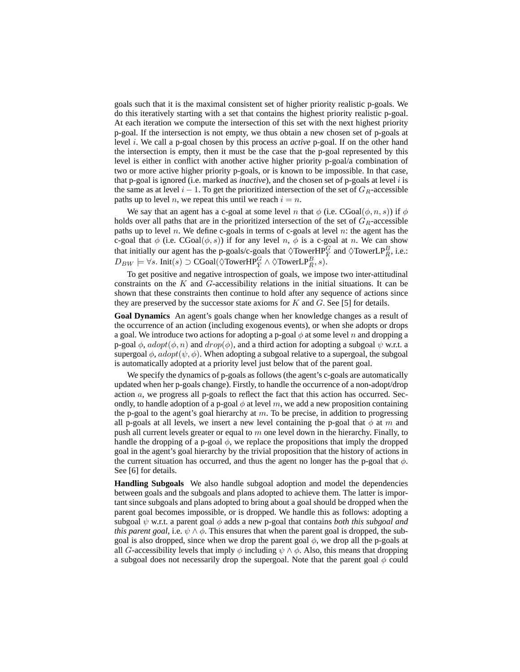goals such that it is the maximal consistent set of higher priority realistic p-goals. We do this iteratively starting with a set that contains the highest priority realistic p-goal. At each iteration we compute the intersection of this set with the next highest priority p-goal. If the intersection is not empty, we thus obtain a new chosen set of p-goals at level i. We call a p-goal chosen by this process an *active* p-goal. If on the other hand the intersection is empty, then it must be the case that the p-goal represented by this level is either in conflict with another active higher priority p-goal/a combination of two or more active higher priority p-goals, or is known to be impossible. In that case, that p-goal is ignored (i.e. marked as *inactive*), and the chosen set of p-goals at level i is the same as at level  $i - 1$ . To get the prioritized intersection of the set of  $G_R$ -accessible paths up to level n, we repeat this until we reach  $i = n$ .

We say that an agent has a c-goal at some level n that  $\phi$  (i.e. CGoal( $\phi$ , n, s)) if  $\phi$ holds over all paths that are in the prioritized intersection of the set of  $G_R$ -accessible paths up to level n. We define c-goals in terms of c-goals at level n: the agent has the c-goal that  $\phi$  (i.e.  $CGoal(\phi, s)$ ) if for any level n,  $\phi$  is a c-goal at n. We can show that initially our agent has the p-goals/c-goals that  $\Diamond \text{TowerHP}^G_{\overline{Y}}$  and  $\Diamond \text{TowerLP}^B_{\overline{R}}$ , i.e.:  $D_{BW}\models \forall s.\; \text{Init}(s) \supset \text{CGoal}(\Diamond \text{TowerHP}^G_{\bar{Y}} \land \Diamond \text{TowerLP}^B_{\bar{R}}, s).$ 

To get positive and negative introspection of goals, we impose two inter-attitudinal constraints on the  $K$  and  $G$ -accessibility relations in the initial situations. It can be shown that these constraints then continue to hold after any sequence of actions since they are preserved by the successor state axioms for  $K$  and  $G$ . See [5] for details.

**Goal Dynamics** An agent's goals change when her knowledge changes as a result of the occurrence of an action (including exogenous events), or when she adopts or drops a goal. We introduce two actions for adopting a p-goal  $\phi$  at some level n and dropping a p-goal  $\phi$ ,  $adopt(\phi, n)$  and  $drop(\phi)$ , and a third action for adopting a subgoal  $\psi$  w.r.t. a supergoal  $\phi$ ,  $\alpha$ dopt $(\psi, \phi)$ . When adopting a subgoal relative to a supergoal, the subgoal is automatically adopted at a priority level just below that of the parent goal.

We specify the dynamics of p-goals as follows (the agent's c-goals are automatically updated when her p-goals change). Firstly, to handle the occurrence of a non-adopt/drop action  $a$ , we progress all p-goals to reflect the fact that this action has occurred. Secondly, to handle adoption of a p-goal  $\phi$  at level m, we add a new proposition containing the p-goal to the agent's goal hierarchy at  $m$ . To be precise, in addition to progressing all p-goals at all levels, we insert a new level containing the p-goal that  $\phi$  at m and push all current levels greater or equal to  $m$  one level down in the hierarchy. Finally, to handle the dropping of a p-goal  $\phi$ , we replace the propositions that imply the dropped goal in the agent's goal hierarchy by the trivial proposition that the history of actions in the current situation has occurred, and thus the agent no longer has the p-goal that  $\phi$ . See [6] for details.

**Handling Subgoals** We also handle subgoal adoption and model the dependencies between goals and the subgoals and plans adopted to achieve them. The latter is important since subgoals and plans adopted to bring about a goal should be dropped when the parent goal becomes impossible, or is dropped. We handle this as follows: adopting a subgoal  $\psi$  w.r.t. a parent goal  $\phi$  adds a new p-goal that contains *both this subgoal and this parent goal*, i.e.  $\psi \wedge \phi$ . This ensures that when the parent goal is dropped, the subgoal is also dropped, since when we drop the parent goal  $\phi$ , we drop all the p-goals at all G-accessibility levels that imply  $\phi$  including  $\psi \wedge \phi$ . Also, this means that dropping a subgoal does not necessarily drop the supergoal. Note that the parent goal  $\phi$  could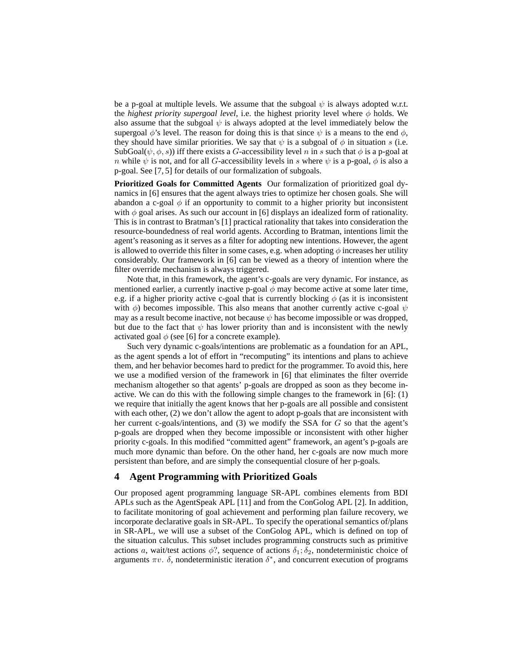be a p-goal at multiple levels. We assume that the subgoal  $\psi$  is always adopted w.r.t. the *highest priority supergoal level*, i.e. the highest priority level where  $\phi$  holds. We also assume that the subgoal  $\psi$  is always adopted at the level immediately below the supergoal  $\phi$ 's level. The reason for doing this is that since  $\psi$  is a means to the end  $\phi$ , they should have similar priorities. We say that  $\psi$  is a subgoal of  $\phi$  in situation s (i.e. SubGoal $(\psi, \phi, s)$ ) iff there exists a G-accessibility level n in s such that  $\phi$  is a p-goal at n while  $\psi$  is not, and for all G-accessibility levels in s where  $\psi$  is a p-goal,  $\phi$  is also a p-goal. See [7, 5] for details of our formalization of subgoals.

**Prioritized Goals for Committed Agents** Our formalization of prioritized goal dynamics in [6] ensures that the agent always tries to optimize her chosen goals. She will abandon a c-goal  $\phi$  if an opportunity to commit to a higher priority but inconsistent with  $\phi$  goal arises. As such our account in [6] displays an idealized form of rationality. This is in contrast to Bratman's [1] practical rationality that takes into consideration the resource-boundedness of real world agents. According to Bratman, intentions limit the agent's reasoning as it serves as a filter for adopting new intentions. However, the agent is allowed to override this filter in some cases, e.g. when adopting  $\phi$  increases her utility considerably. Our framework in [6] can be viewed as a theory of intention where the filter override mechanism is always triggered.

Note that, in this framework, the agent's c-goals are very dynamic. For instance, as mentioned earlier, a currently inactive p-goal  $\phi$  may become active at some later time, e.g. if a higher priority active c-goal that is currently blocking  $\phi$  (as it is inconsistent with  $\phi$ ) becomes impossible. This also means that another currently active c-goal  $\psi$ may as a result become inactive, not because  $\psi$  has become impossible or was dropped, but due to the fact that  $\psi$  has lower priority than and is inconsistent with the newly activated goal  $\phi$  (see [6] for a concrete example).

Such very dynamic c-goals/intentions are problematic as a foundation for an APL, as the agent spends a lot of effort in "recomputing" its intentions and plans to achieve them, and her behavior becomes hard to predict for the programmer. To avoid this, here we use a modified version of the framework in [6] that eliminates the filter override mechanism altogether so that agents' p-goals are dropped as soon as they become inactive. We can do this with the following simple changes to the framework in  $[6]$ :  $(1)$ we require that initially the agent knows that her p-goals are all possible and consistent with each other, (2) we don't allow the agent to adopt p-goals that are inconsistent with her current c-goals/intentions, and  $(3)$  we modify the SSA for G so that the agent's p-goals are dropped when they become impossible or inconsistent with other higher priority c-goals. In this modified "committed agent" framework, an agent's p-goals are much more dynamic than before. On the other hand, her c-goals are now much more persistent than before, and are simply the consequential closure of her p-goals.

## **4 Agent Programming with Prioritized Goals**

Our proposed agent programming language SR-APL combines elements from BDI APLs such as the AgentSpeak APL [11] and from the ConGolog APL [2]. In addition, to facilitate monitoring of goal achievement and performing plan failure recovery, we incorporate declarative goals in SR-APL. To specify the operational semantics of/plans in SR-APL, we will use a subset of the ConGolog APL, which is defined on top of the situation calculus. This subset includes programming constructs such as primitive actions a, wait/test actions  $\phi$ ?, sequence of actions  $\delta_1$ ;  $\delta_2$ , nondeterministic choice of arguments  $\pi v$ .  $\delta$ , nondeterministic iteration  $\delta^*$ , and concurrent execution of programs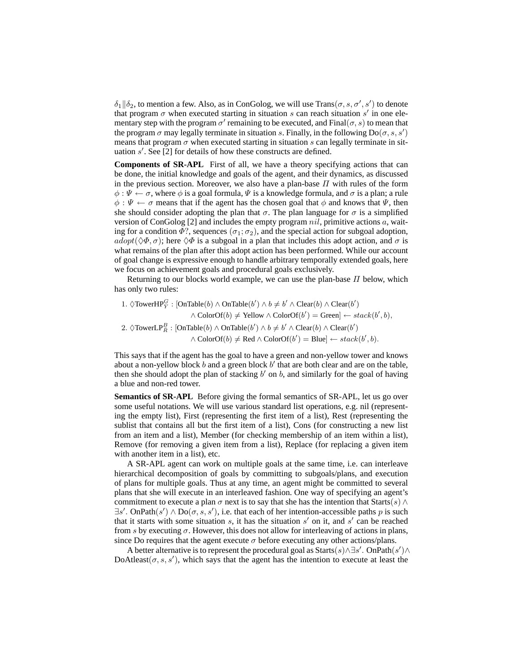$\delta_1 || \delta_2$ , to mention a few. Also, as in ConGolog, we will use Trans $(\sigma, s, \sigma', s')$  to denote that program  $\sigma$  when executed starting in situation s can reach situation s' in one elementary step with the program  $\sigma'$  remaining to be executed, and Final $(\sigma, s)$  to mean that the program  $\sigma$  may legally terminate in situation s. Finally, in the following  $Do(\sigma, s, s')$ means that program  $\sigma$  when executed starting in situation s can legally terminate in situation  $s'$ . See [2] for details of how these constructs are defined.

**Components of SR-APL** First of all, we have a theory specifying actions that can be done, the initial knowledge and goals of the agent, and their dynamics, as discussed in the previous section. Moreover, we also have a plan-base  $\Pi$  with rules of the form  $\phi: \Psi \leftarrow \sigma$ , where  $\phi$  is a goal formula,  $\Psi$  is a knowledge formula, and  $\sigma$  is a plan; a rule  $\phi : \Psi \leftarrow \sigma$  means that if the agent has the chosen goal that  $\phi$  and knows that  $\Psi$ , then she should consider adopting the plan that  $\sigma$ . The plan language for  $\sigma$  is a simplified version of ConGolog  $[2]$  and includes the empty program  $nil$ , primitive actions a, waiting for a condition  $\Phi$ ?, sequences  $(\sigma_1; \sigma_2)$ , and the special action for subgoal adoption,  $adopt(\Diamond \Phi, \sigma)$ ; here  $\Diamond \Phi$  is a subgoal in a plan that includes this adopt action, and  $\sigma$  is what remains of the plan after this adopt action has been performed. While our account of goal change is expressive enough to handle arbitrary temporally extended goals, here we focus on achievement goals and procedural goals exclusively.

Returning to our blocks world example, we can use the plan-base  $\Pi$  below, which has only two rules:

1.  $\Diamond \text{TowerHP}_{\bar{Y}}^G$ : [OnTable(b)  $\land$  OnTable(b')  $\land$   $b \neq b' \land \text{Clear}(b) \land \text{Clear}(b')$  $\land$  ColorOf(b)  $\neq$  Yellow  $\land$  ColorOf(b') = Green]  $\leftarrow$  stack(b', b), 2.  $\Diamond \text{TowerLP}_{\bar{R}}^B : [\text{OnTable}(b) \land \text{OnTable}(b') \land b \neq b' \land \text{Clear}(b) \land \text{Clear}(b')$  $\land \text{ColorOf}(b) \neq \text{Red} \land \text{ColorOf}(b') = \text{Blue} \leftarrow stack(b', b).$ 

This says that if the agent has the goal to have a green and non-yellow tower and knows about a non-yellow block  $b$  and a green block  $b'$  that are both clear and are on the table, then she should adopt the plan of stacking  $b'$  on  $b$ , and similarly for the goal of having a blue and non-red tower.

**Semantics of SR-APL** Before giving the formal semantics of SR-APL, let us go over some useful notations. We will use various standard list operations, e.g. nil (representing the empty list), First (representing the first item of a list), Rest (representing the sublist that contains all but the first item of a list), Cons (for constructing a new list from an item and a list), Member (for checking membership of an item within a list), Remove (for removing a given item from a list), Replace (for replacing a given item with another item in a list), etc.

A SR-APL agent can work on multiple goals at the same time, i.e. can interleave hierarchical decomposition of goals by committing to subgoals/plans, and execution of plans for multiple goals. Thus at any time, an agent might be committed to several plans that she will execute in an interleaved fashion. One way of specifying an agent's commitment to execute a plan  $\sigma$  next is to say that she has the intention that Starts(s)  $\wedge$  $\exists s'$ . OnPath $(s') \wedge Do(\sigma, s, s')$ , i.e. that each of her intention-accessible paths p is such that it starts with some situation  $s$ , it has the situation  $s'$  on it, and  $s'$  can be reached from s by executing  $\sigma$ . However, this does not allow for interleaving of actions in plans, since Do requires that the agent execute  $\sigma$  before executing any other actions/plans.

A better alternative is to represent the procedural goal as Starts $(s) \wedge \exists s'$ . OnPath $(s') \wedge$ DoAtleast( $\sigma$ , s, s'), which says that the agent has the intention to execute at least the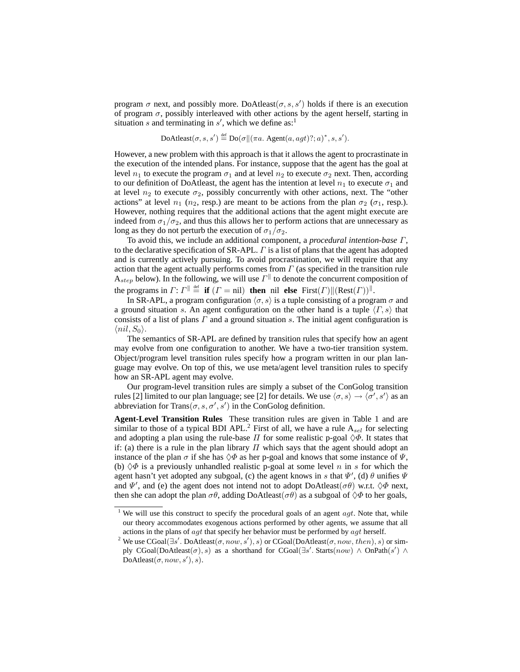program  $\sigma$  next, and possibly more. DoAtleast $(\sigma, s, s')$  holds if there is an execution of program  $\sigma$ , possibly interleaved with other actions by the agent herself, starting in situation s and terminating in  $s'$ , which we define as:<sup>1</sup>

 $\text{DoAtleast}(\sigma, s, s') \stackrel{\text{def}}{=} \text{Do}(\sigma \| (\pi a. \text{ Agent}(a,agt) ?; a)^*, s, s').$ 

However, a new problem with this approach is that it allows the agent to procrastinate in the execution of the intended plans. For instance, suppose that the agent has the goal at level  $n_1$  to execute the program  $\sigma_1$  and at level  $n_2$  to execute  $\sigma_2$  next. Then, according to our definition of DoAtleast, the agent has the intention at level  $n_1$  to execute  $\sigma_1$  and at level  $n_2$  to execute  $\sigma_2$ , possibly concurrently with other actions, next. The "other actions" at level  $n_1$  ( $n_2$ , resp.) are meant to be actions from the plan  $\sigma_2$  ( $\sigma_1$ , resp.). However, nothing requires that the additional actions that the agent might execute are indeed from  $\sigma_1/\sigma_2$ , and thus this allows her to perform actions that are unnecessary as long as they do not perturb the execution of  $\sigma_1/\sigma_2$ .

To avoid this, we include an additional component, a *procedural intention-base* Γ, to the declarative specification of  $SR-API$ .  $\Gamma$  is a list of plans that the agent has adopted and is currently actively pursuing. To avoid procrastination, we will require that any action that the agent actually performs comes from  $\Gamma$  (as specified in the transition rule  $A_{step}$  below). In the following, we will use  $\Gamma^{\parallel}$  to denote the concurrent composition of the programs in  $\Gamma: \Gamma \parallel \stackrel{\text{def}}{=} \mathbf{if} (\Gamma = \text{nil})$  **then** nil **else**  $\text{First}(\Gamma) ||(\text{Rest}(\Gamma))||$ .

In SR-APL, a program configuration  $\langle \sigma, s \rangle$  is a tuple consisting of a program  $\sigma$  and a ground situation s. An agent configuration on the other hand is a tuple  $\langle \Gamma, s \rangle$  that consists of a list of plans  $\Gamma$  and a ground situation s. The initial agent configuration is  $\langle nil, S_0 \rangle$ .

The semantics of SR-APL are defined by transition rules that specify how an agent may evolve from one configuration to another. We have a two-tier transition system. Object/program level transition rules specify how a program written in our plan language may evolve. On top of this, we use meta/agent level transition rules to specify how an SR-APL agent may evolve.

Our program-level transition rules are simply a subset of the ConGolog transition rules [2] limited to our plan language; see [2] for details. We use  $\langle \sigma, s \rangle \to \langle \sigma', s' \rangle$  as an abbreviation for Trans $(\sigma, s, \sigma', s')$  in the ConGolog definition.

**Agent-Level Transition Rules** These transition rules are given in Table 1 and are similar to those of a typical BDI APL.<sup>2</sup> First of all, we have a rule  $A_{sel}$  for selecting and adopting a plan using the rule-base  $\Pi$  for some realistic p-goal  $\Diamond \Phi$ . It states that if: (a) there is a rule in the plan library  $\Pi$  which says that the agent should adopt an instance of the plan  $\sigma$  if she has  $\Diamond \Phi$  as her p-goal and knows that some instance of  $\Psi$ , (b)  $\Diamond \Phi$  is a previously unhandled realistic p-goal at some level n in s for which the agent hasn't yet adopted any subgoal, (c) the agent knows in s that  $\Psi'$ , (d)  $\theta$  unifies  $\Psi$ and  $\Psi'$ , and (e) the agent does not intend not to adopt DoAtleast( $\sigma\theta$ ) w.r.t.  $\Diamond\Phi$  next, then she can adopt the plan  $\sigma\theta$ , adding DoAtleast( $\sigma\theta$ ) as a subgoal of  $\Diamond\Phi$  to her goals,

<sup>&</sup>lt;sup>1</sup> We will use this construct to specify the procedural goals of an agent  $agt$ . Note that, while our theory accommodates exogenous actions performed by other agents, we assume that all actions in the plans of  $agt$  that specify her behavior must be performed by  $agt$  herself.

<sup>&</sup>lt;sup>2</sup> We use CGoal( $\exists s'$ . DoAtleast( $\sigma$ , now, s'), s) or CGoal(DoAtleast( $\sigma$ , now, then), s) or simply CGoal(DoAtleast( $\sigma$ ), s) as a shorthand for CGoal( $\exists s'$ . Starts( $now$ ) ∧ OnPath( $s'$ ) ∧  $\text{DoAtleast}(\sigma, now, s'), s).$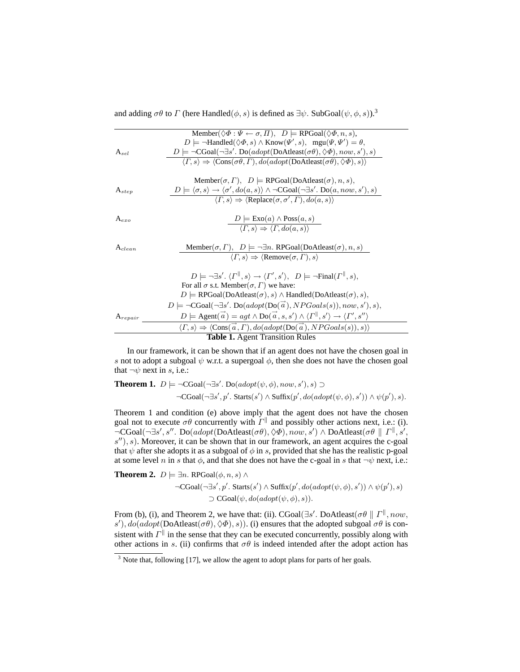and adding  $\sigma\theta$  to  $\Gamma$  (here Handled( $\phi$ , s) is defined as  $\exists \psi$ . SubGoal( $\psi$ ,  $\phi$ , s)).<sup>3</sup>

|                                        | Member( $\Diamond \Phi : \Psi \leftarrow \sigma, \Pi$ ), $D \models \text{RPGoal}(\Diamond \Phi, n, s)$ ,                                                           |
|----------------------------------------|---------------------------------------------------------------------------------------------------------------------------------------------------------------------|
|                                        | $D \models \neg \text{Handled}(\Diamond \Phi, s) \land \text{Know}(\Psi', s), \text{ mgu}(\Psi, \Psi') = \theta,$                                                   |
| $A_{sel}$                              | $D \models \neg CGoal(\neg \exists s'. Do(adopt(DoAtleast(\sigma\theta), \Diamond \Phi), now, s'), s)$                                                              |
|                                        | $\langle \Gamma, s \rangle \Rightarrow \langle \text{Cons}(\sigma \theta, \Gamma), do (adopt(\text{DoAtleast}(\sigma \theta), \Diamond \Phi), s) \rangle$           |
|                                        |                                                                                                                                                                     |
|                                        | Member( $\sigma$ , $\Gamma$ ), $D \models$ RPGoal(DoAtleast( $\sigma$ ), $n$ , $s$ ),                                                                               |
| $A_{step}$                             | $D \models \langle \sigma, s \rangle \rightarrow \langle \sigma', do(a, s) \rangle \land \neg CGoal(\neg \exists s'. Do(a, now, s'), s)$                            |
|                                        | $\langle \Gamma, s \rangle \Rightarrow \langle \text{Replace}(\sigma, \sigma', \Gamma), do(a, s) \rangle$                                                           |
|                                        |                                                                                                                                                                     |
| $A_{exo}$                              | $D \models \text{Exo}(a) \land \text{Poss}(a, s)$                                                                                                                   |
|                                        | $\langle \Gamma, s \rangle \Rightarrow \langle \Gamma, do(a, s) \rangle$                                                                                            |
|                                        |                                                                                                                                                                     |
| $A_{clean}$                            | Member( $\sigma$ , $\Gamma$ ), $D \models \neg \exists n$ . RPGoal(DoAtleast( $\sigma$ ), $n$ , $s$ )                                                               |
|                                        | $\langle \Gamma, s \rangle \Rightarrow \langle$ Remove $(\sigma, \Gamma), s \rangle$                                                                                |
|                                        |                                                                                                                                                                     |
|                                        | $D \models \neg \exists s'. \langle \Gamma^{\parallel}, s \rangle \rightarrow \langle \Gamma', s' \rangle, \ \ D \models \neg \text{Final}(\Gamma^{\parallel}, s),$ |
|                                        | For all $\sigma$ s.t. Member( $\sigma$ , $\Gamma$ ) we have:                                                                                                        |
|                                        | $D \models \text{RPGoal}(\text{DoAtleast}(\sigma), s) \land \text{Handled}(\text{DoAtleast}(\sigma), s),$                                                           |
|                                        | $D \models \neg CGoal(\neg \exists s'. Do(adopt(Do(\vec{a}), NPGoals(s)), now, s'), s),$                                                                            |
| $A_{repair}$                           | $D \models \text{Agent}(\vec{a}) = agt \wedge \text{Do}(\vec{a}, s, s') \wedge \langle \Gamma^{\parallel}, s' \rangle \rightarrow \langle \Gamma', s'' \rangle$     |
|                                        | $\langle \Gamma, s \rangle \Rightarrow \langle \text{Cons}(\vec{a}, \Gamma), do (adopt(\text{Do}(\vec{a}), NPGoals(s)), s) \rangle$                                 |
| <b>Table 1.</b> Agent Transition Rules |                                                                                                                                                                     |

In our framework, it can be shown that if an agent does not have the chosen goal in s not to adopt a subgoal  $\psi$  w.r.t. a supergoal  $\phi$ , then she does not have the chosen goal that  $\neg \psi$  next in s, i.e.:

**Theorem 1.** 
$$
D \models \neg CGoal(\neg \exists s' \ldots Do(adopt(\psi, \phi), now, s'), s) \supset
$$
  
 $\neg CGoal(\neg \exists s', p' \ldots \text{Start}(s') \land \text{Suffix}(p', do(adopt(\psi, \phi), s')) \land \psi(p'), s).$ 

Theorem 1 and condition (e) above imply that the agent does not have the chosen goal not to execute  $\sigma\theta$  concurrently with  $\Gamma^{\parallel}$  and possibly other actions next, i.e.: (i).  $\neg \text{CGoal}(\neg \exists s', s''.\text{ Do}(\text{adopt}(\text{DoAtleast}(\sigma\theta), \Diamond \Phi), \text{now}, s') \land \text{DoAtleast}(\sigma\theta \parallel \Gamma^{\parallel}, s', s')$  $(s'')$ , s). Moreover, it can be shown that in our framework, an agent acquires the c-goal that  $\psi$  after she adopts it as a subgoal of  $\phi$  in s, provided that she has the realistic p-goal at some level n in s that  $\phi$ , and that she does not have the c-goal in s that  $\neg \psi$  next, i.e.:

**Theorem 2.**  $D \models \exists n.$  RPGoal $(\phi, n, s) \land$  $\neg \text{CGoal}(\neg \exists s', p'. \text{ starts}(s') \land \text{Suffix}(p', do(adopt(\psi, \phi), s')) \land \psi(p'), s)$  $\supset$  CGoal( $\psi$ ,  $do(adopt(\psi, \phi), s)$ ).

From (b), (i), and Theorem 2, we have that: (ii). CGoal( $\exists s'$ . DoAtleast( $\sigma\theta \parallel \Gamma^{\parallel}$ , now, s'),  $do(adopt(DoAtleast(\sigma\theta), \Diamond\Phi), s)$ ). (i) ensures that the adopted subgoal  $\sigma\theta$  is consistent with  $\Gamma^{\parallel}$  in the sense that they can be executed concurrently, possibly along with other actions in s. (ii) confirms that  $\sigma\theta$  is indeed intended after the adopt action has

 $\frac{3}{3}$  Note that, following [17], we allow the agent to adopt plans for parts of her goals.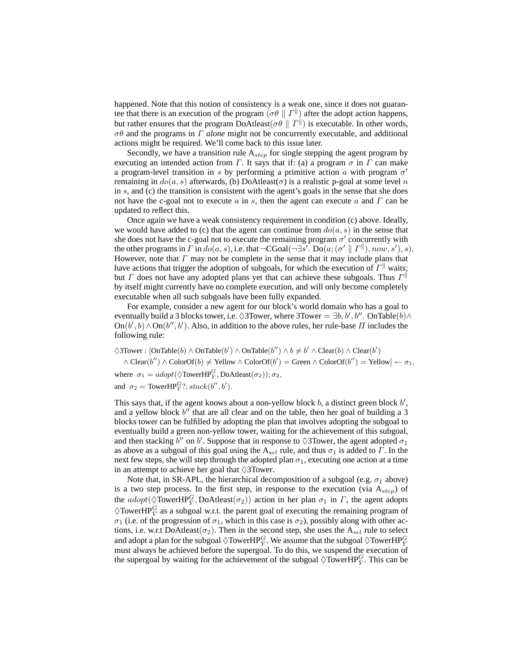happened. Note that this notion of consistency is a weak one, since it does not guarantee that there is an execution of the program  $(\sigma \theta \parallel \Gamma^{\parallel})$  after the adopt action happens, but rather ensures that the program DoAtleast( $\sigma\theta \parallel \Gamma^{\parallel}$ ) is executable. In other words, σθ and the programs in Γ *alone* might not be concurrently executable, and additional actions might be required. We'll come back to this issue later.

Secondly, we have a transition rule  $A_{step}$  for single stepping the agent program by executing an intended action from  $\Gamma$ . It says that if: (a) a program  $\sigma$  in  $\Gamma$  can make a program-level transition in s by performing a primitive action a with program  $\sigma'$ remaining in  $do(a, s)$  afterwards, (b) DoAtleast( $\sigma$ ) is a realistic p-goal at some level n in  $s$ , and (c) the transition is consistent with the agent's goals in the sense that she does not have the c-goal not to execute a in s, then the agent can execute a and  $\Gamma$  can be updated to reflect this.

Once again we have a weak consistency requirement in condition (c) above. Ideally, we would have added to (c) that the agent can continue from  $do(a, s)$  in the sense that she does not have the c-goal not to execute the remaining program  $\sigma'$  concurrently with the other programs in  $\Gamma$  in  $do(a, s)$ , i.e. that  $\neg \text{CGoal}(\neg \exists s'.\ \text{Do}(a; (\sigma' \parallel \Gamma^{\parallel}), now, s'), s)$ . However, note that  $\Gamma$  may not be complete in the sense that it may include plans that have actions that trigger the adoption of subgoals, for which the execution of  $\Gamma^{\parallel}$  waits; but  $\Gamma$  does not have any adopted plans yet that can achieve these subgoals. Thus  $\Gamma^{\parallel}$ by itself might currently have no complete execution, and will only become completely executable when all such subgoals have been fully expanded.

For example, consider a new agent for our block's world domain who has a goal to eventually build a 3 blocks tower, i.e.  $\Diamond 3$  Tower, where 3 Tower =  $\exists b, b', b''$ . On Table $(b) \land$  $\text{On}(b', b) \wedge \text{On}(b'', b')$ . Also, in addition to the above rules, her rule-base  $\Pi$  includes the following rule:

 $\Diamond$ 3Tower :  $[OnTable(b) \land OnTable(b') \land OnTable(b'') \land b \neq b' \land Clear(b) \land Clear(b')$ 

 $\land$  Clear(b'')  $\land$  ColorOf(b)  $\neq$  Yellow  $\land$  ColorOf(b') = Green  $\land$  ColorOf(b'') = Yellow]  $\leftarrow \sigma_1$ , where  $\sigma_1 = adopt(\Diamond \text{TowerHP}_{\overline{Y}}^G, \text{DoAtleast}(\sigma_2)); \sigma_2$ ,

and  $\sigma_2$  = TowerHP<sup>G</sup><sub>Y</sub>?; stack(b'', b').

This says that, if the agent knows about a non-yellow block  $b$ , a distinct green block  $b'$ , and a yellow block  $b''$  that are all clear and on the table, then her goal of building a 3 blocks tower can be fulfilled by adopting the plan that involves adopting the subgoal to eventually build a green non-yellow tower, waiting for the achievement of this subgoal, and then stacking  $\bar{b}''$  on  $b'$ . Suppose that in response to  $\Diamond$ 3Tower, the agent adopted  $\sigma_1$ as above as a subgoal of this goal using the  $A_{sel}$  rule, and thus  $\sigma_1$  is added to  $\Gamma$ . In the next few steps, she will step through the adopted plan  $\sigma_1$ , executing one action at a time in an attempt to achieve her goal that  $\Diamond$ 3Tower.

Note that, in SR-APL, the hierarchical decomposition of a subgoal (e.g.  $\sigma_1$  above) is a two step process. In the first step, in response to the execution (via  $A_{step}$ ) of the  $\alpha$ dopt( $\Diamond$ TowerHP<sub>Y</sub><sup>C</sup>, DoAtleast( $\sigma$ <sub>2</sub>)) action in her plan  $\sigma$ <sub>1</sub> in  $\Gamma$ , the agent adopts  $\Diamond$ TowerHP $_Y^G$  as a subgoal w.r.t. the parent goal of executing the remaining program of  $\sigma_1$  (i.e. of the progression of  $\sigma_1$ , which in this case is  $\sigma_2$ ), possibly along with other actions, i.e. w.r.t DoAtleast( $\sigma_2$ ). Then in the second step, she uses the A<sub>sel</sub> rule to select and adopt a plan for the subgoal  $\Diamond \text{TowerHP}^G_{\bar Y}$ . We assume that the subgoal  $\Diamond \text{TowerHP}^G_{\bar Y}$ must always be achieved before the supergoal. To do this, we suspend the execution of the supergoal by waiting for the achievement of the subgoal  $\Diamond$ TowerHP $^G_{\overline{Y}}$ . This can be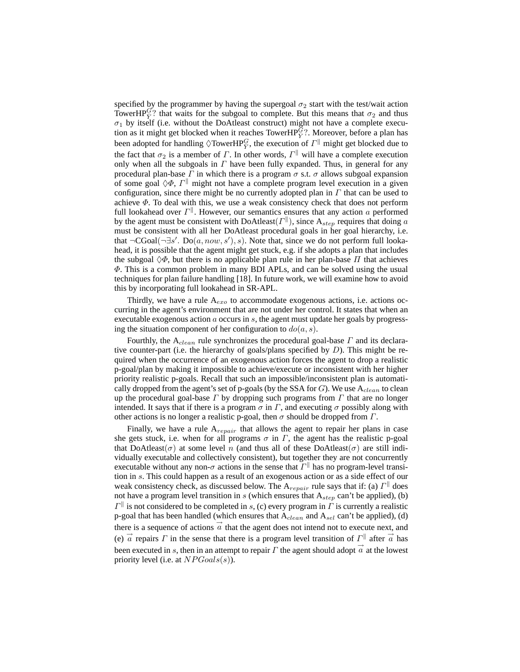specified by the programmer by having the supergoal  $\sigma_2$  start with the test/wait action TowerHP $_{\bar{Y}}^G$ ? that waits for the subgoal to complete. But this means that  $\sigma_2$  and thus  $\sigma_1$  by itself (i.e. without the DoAtleast construct) might not have a complete execution as it might get blocked when it reaches TowerHP $_{\bar{Y}}^{\bar{G}}$ ?. Moreover, before a plan has been adopted for handling  $\Diamond \text{TowerHP}^G_{\bar{Y}}$ , the execution of  $\varGamma^{\parallel}$  might get blocked due to the fact that  $\sigma_2$  is a member of  $\Gamma$ . In other words,  $\Gamma^{\parallel}$  will have a complete execution only when all the subgoals in  $\Gamma$  have been fully expanded. Thus, in general for any procedural plan-base  $\Gamma$  in which there is a program  $\sigma$  s.t.  $\sigma$  allows subgoal expansion of some goal  $\Diamond \Phi$ ,  $\Gamma^{\parallel}$  might not have a complete program level execution in a given configuration, since there might be no currently adopted plan in  $\Gamma$  that can be used to achieve  $\Phi$ . To deal with this, we use a weak consistency check that does not perform full lookahead over  $\Gamma^{\parallel}$ . However, our semantics ensures that any action a performed by the agent must be consistent with DoAtleast( $\Gamma^{\parallel}$ ), since  $A_{step}$  requires that doing a must be consistent with all her DoAtleast procedural goals in her goal hierarchy, i.e. that  $\neg$ CGoal( $\neg \exists s'$ . Do $(a, now, s')$ , s). Note that, since we do not perform full lookahead, it is possible that the agent might get stuck, e.g. if she adopts a plan that includes the subgoal  $\Diamond \Phi$ , but there is no applicable plan rule in her plan-base  $\Pi$  that achieves  $\Phi$ . This is a common problem in many BDI APLs, and can be solved using the usual techniques for plan failure handling [18]. In future work, we will examine how to avoid this by incorporating full lookahead in SR-APL.

Thirdly, we have a rule  $A_{exo}$  to accommodate exogenous actions, i.e. actions occurring in the agent's environment that are not under her control. It states that when an executable exogenous action  $\alpha$  occurs in  $\delta$ , the agent must update her goals by progressing the situation component of her configuration to  $do(a, s)$ .

Fourthly, the  $A_{clean}$  rule synchronizes the procedural goal-base  $\Gamma$  and its declarative counter-part (i.e. the hierarchy of goals/plans specified by  $D$ ). This might be required when the occurrence of an exogenous action forces the agent to drop a realistic p-goal/plan by making it impossible to achieve/execute or inconsistent with her higher priority realistic p-goals. Recall that such an impossible/inconsistent plan is automatically dropped from the agent's set of p-goals (by the SSA for  $G$ ). We use  $A_{clean}$  to clean up the procedural goal-base  $\Gamma$  by dropping such programs from  $\Gamma$  that are no longer intended. It says that if there is a program  $\sigma$  in  $\Gamma$ , and executing  $\sigma$  possibly along with other actions is no longer a realistic p-goal, then  $\sigma$  should be dropped from  $\Gamma$ .

Finally, we have a rule  $A_{repair}$  that allows the agent to repair her plans in case she gets stuck, i.e. when for all programs  $\sigma$  in  $\Gamma$ , the agent has the realistic p-goal that DoAtleast( $\sigma$ ) at some level n (and thus all of these DoAtleast( $\sigma$ ) are still individually executable and collectively consistent), but together they are not concurrently executable without any non- $\sigma$  actions in the sense that  $\Gamma^{\parallel}$  has no program-level transition in s. This could happen as a result of an exogenous action or as a side effect of our weak consistency check, as discussed below. The  $A_{repair}$  rule says that if: (a)  $\Gamma^{\parallel}$  does not have a program level transition in s (which ensures that  $A_{step}$  can't be applied), (b)  $\Gamma^{\parallel}$  is not considered to be completed in s, (c) every program in  $\Gamma$  is currently a realistic p-goal that has been handled (which ensures that  $A_{clean}$  and  $A_{sel}$  can't be applied), (d) there is a sequence of actions  $\vec{a}$  that the agent does not intend not to execute next, and (e)  $\vec{a}$  repairs  $\vec{\Gamma}$  in the sense that there is a program level transition of  $\Gamma^{\parallel}$  after  $\vec{a}$  has been executed in s, then in an attempt to repair  $\Gamma$  the agent should adopt  $\vec{a}$  at the lowest priority level (i.e. at  $NP Goals(s)$ ).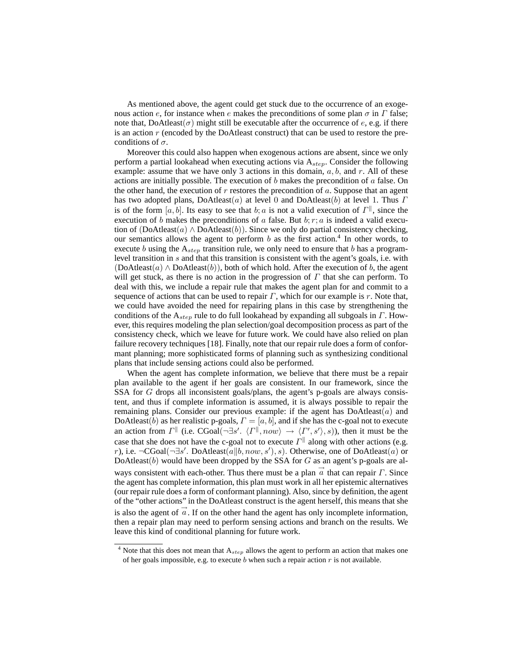As mentioned above, the agent could get stuck due to the occurrence of an exogenous action e, for instance when e makes the preconditions of some plan  $\sigma$  in  $\Gamma$  false; note that, DoAtleast( $\sigma$ ) might still be executable after the occurrence of e, e.g. if there is an action  $r$  (encoded by the DoAtleast construct) that can be used to restore the preconditions of  $\sigma$ .

Moreover this could also happen when exogenous actions are absent, since we only perform a partial lookahead when executing actions via  $A_{step}$ . Consider the following example: assume that we have only 3 actions in this domain,  $a, b$ , and  $r$ . All of these actions are initially possible. The execution of  $b$  makes the precondition of  $a$  false. On the other hand, the execution of  $r$  restores the precondition of  $a$ . Suppose that an agent has two adopted plans,  $Dochleast(a)$  at level 0 and  $Dochleast(b)$  at level 1. Thus  $\Gamma$ is of the form  $[a, b]$ . Its easy to see that b; a is not a valid execution of  $\Gamma^{\parallel}$ , since the execution of b makes the preconditions of a false. But  $b; r; a$  is indeed a valid execution of  $(DoAteast(a) \wedge DoAteast(b))$ . Since we only do partial consistency checking, our semantics allows the agent to perform  $b$  as the first action.<sup>4</sup> In other words, to execute b using the  $A_{step}$  transition rule, we only need to ensure that b has a programlevel transition in s and that this transition is consistent with the agent's goals, i.e. with (DoAtleast(a)  $\land$  DoAtleast(b)), both of which hold. After the execution of b, the agent will get stuck, as there is no action in the progression of  $\Gamma$  that she can perform. To deal with this, we include a repair rule that makes the agent plan for and commit to a sequence of actions that can be used to repair  $\Gamma$ , which for our example is r. Note that, we could have avoided the need for repairing plans in this case by strengthening the conditions of the  $A_{step}$  rule to do full lookahead by expanding all subgoals in  $\Gamma$ . However, this requires modeling the plan selection/goal decomposition process as part of the consistency check, which we leave for future work. We could have also relied on plan failure recovery techniques [18]. Finally, note that our repair rule does a form of conformant planning; more sophisticated forms of planning such as synthesizing conditional plans that include sensing actions could also be performed.

When the agent has complete information, we believe that there must be a repair plan available to the agent if her goals are consistent. In our framework, since the SSA for G drops all inconsistent goals/plans, the agent's p-goals are always consistent, and thus if complete information is assumed, it is always possible to repair the remaining plans. Consider our previous example: if the agent has  $DoAtleast(a)$  and DoAtleast(b) as her realistic p-goals,  $\Gamma = [a, b]$ , and if she has the c-goal not to execute an action from  $\Gamma^{\parallel}$  (i.e. CGoal( $\neg \exists s'$ .  $\langle \Gamma^{\parallel}, now \rangle \rightarrow \langle \Gamma', s' \rangle$ , s)), then it must be the case that she does not have the c-goal not to execute  $\Gamma^{\parallel}$  along with other actions (e.g. r), i.e. ¬CGoal(¬∃s'. DoAtleast( $a||b, now, s'$ ), s). Otherwise, one of DoAtleast( $a$ ) or DoAtleast( $b$ ) would have been dropped by the SSA for  $G$  as an agent's p-goals are always consistent with each-other. Thus there must be a plan  $\vec{a}$  that can repair  $\Gamma$ . Since the agent has complete information, this plan must work in all her epistemic alternatives (our repair rule does a form of conformant planning). Also, since by definition, the agent of the "other actions" in the DoAtleast construct is the agent herself, this means that she is also the agent of  $\vec{a}$ . If on the other hand the agent has only incomplete information, then a repair plan may need to perform sensing actions and branch on the results. We leave this kind of conditional planning for future work.

 $4$  Note that this does not mean that  $A_{step}$  allows the agent to perform an action that makes one of her goals impossible, e.g. to execute  $b$  when such a repair action  $r$  is not available.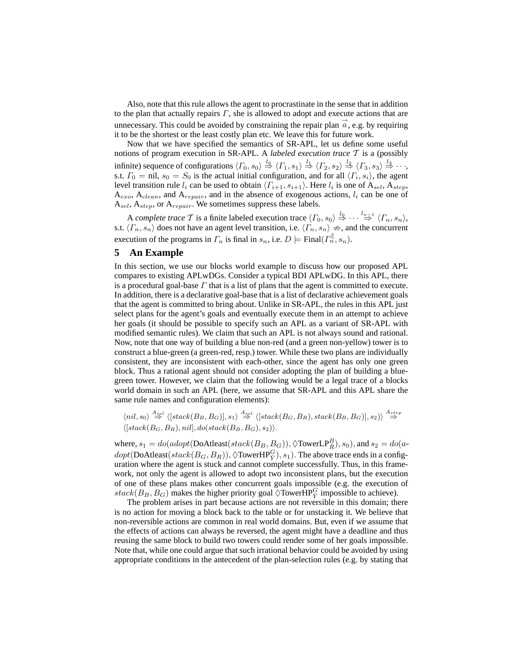Also, note that this rule allows the agent to procrastinate in the sense that in addition to the plan that actually repairs  $\Gamma$ , she is allowed to adopt and execute actions that are unnecessary. This could be avoided by constraining the repair plan  $\vec{a}$ , e.g. by requiring it to be the shortest or the least costly plan etc. We leave this for future work.

Now that we have specified the semantics of SR-APL, let us define some useful notions of program execution in SR-APL. A *labeled execution trace* T is a (possibly infinite) sequence of configurations  $\langle \Gamma_0, s_0 \rangle \stackrel{l_0}{\Rightarrow} \langle \Gamma_1, s_1 \rangle \stackrel{l_1}{\Rightarrow} \langle \Gamma_2, s_2 \rangle \stackrel{l_2}{\Rightarrow} \langle \Gamma_3, s_3 \rangle \stackrel{l_3}{\Rightarrow} \cdots$ s.t.  $\Gamma_0 = \text{nil}, s_0 = S_0$  is the actual initial configuration, and for all  $\langle \Gamma_i, s_i \rangle$ , the agent level transition rule  $l_i$  can be used to obtain  $\langle \Gamma_{i+1}, s_{i+1} \rangle$ . Here  $l_i$  is one of  $A_{sel}$ ,  $A_{step}$ ,  $A_{exo}$ ,  $A_{clean}$ , and  $A_{repair}$ , and in the absence of exogenous actions,  $l_i$  can be one of  $A_{self}$ ,  $A_{step}$ , or  $A_{repair}$ . We sometimes suppress these labels.

A *complete trace* T is a finite labeled execution trace  $\langle \Gamma_0, s_0 \rangle \stackrel{l_0}{\Rightarrow} \cdots \stackrel{l_{n-1}}{\Rightarrow} \langle \Gamma_n, s_n \rangle$ , s.t.  $\langle \Gamma_n, s_n \rangle$  does not have an agent level transition, i.e.  $\langle \Gamma_n, s_n \rangle \nRightarrow$ , and the concurrent execution of the programs in  $\Gamma_n$  is final in  $s_n$ , i.e.  $D \models \text{Final}(\Gamma_n^{\parallel}, s_n)$ .

# **5 An Example**

In this section, we use our blocks world example to discuss how our proposed APL compares to existing APLwDGs. Consider a typical BDI APLwDG. In this APL, there is a procedural goal-base  $\Gamma$  that is a list of plans that the agent is committed to execute. In addition, there is a declarative goal-base that is a list of declarative achievement goals that the agent is committed to bring about. Unlike in SR-APL, the rules in this APL just select plans for the agent's goals and eventually execute them in an attempt to achieve her goals (it should be possible to specify such an APL as a variant of SR-APL with modified semantic rules). We claim that such an APL is not always sound and rational. Now, note that one way of building a blue non-red (and a green non-yellow) tower is to construct a blue-green (a green-red, resp.) tower. While these two plans are individually consistent, they are inconsistent with each-other, since the agent has only one green block. Thus a rational agent should not consider adopting the plan of building a bluegreen tower. However, we claim that the following would be a legal trace of a blocks world domain in such an APL (here, we assume that SR-APL and this APL share the same rule names and configuration elements):

$$
\langle nil, s_0 \rangle \stackrel{A_{sel}}{\Rightarrow} \langle [stack(B_B, B_G)], s_1 \rangle \stackrel{A_{sel}}{\Rightarrow} \langle [stack(B_G, B_R), stack(B_B, B_G)], s_2 \rangle \rangle \stackrel{A_{step}}{\Rightarrow} \langle [stack(B_G, B_R),stack(B_B, B_G)], s_1 \rangle \rangle
$$

where,  $s_1 = do(adopt(DoAtleast(stack(B_B, B_G)), \Diamond \text{TowerLP}_{\overline{R}}^B), s_0)$ , and  $s_2 = do(a-b)$  $dopt(DoAtleast(sstack(B_G, B_R)), \Diamond \text{TowerHP}_{\bar{Y}}^G), s_1)$ . The above trace ends in a configuration where the agent is stuck and cannot complete successfully. Thus, in this framework, not only the agent is allowed to adopt two inconsistent plans, but the execution of one of these plans makes other concurrent goals impossible (e.g. the execution of  $stack(B_B, B_G)$  makes the higher priority goal  $\Diamond$ TowerHP $^G_{\overline{Y}}$  impossible to achieve).

The problem arises in part because actions are not reversible in this domain; there is no action for moving a block back to the table or for unstacking it. We believe that non-reversible actions are common in real world domains. But, even if we assume that the effects of actions can always be reversed, the agent might have a deadline and thus reusing the same block to build two towers could render some of her goals impossible. Note that, while one could argue that such irrational behavior could be avoided by using appropriate conditions in the antecedent of the plan-selection rules (e.g. by stating that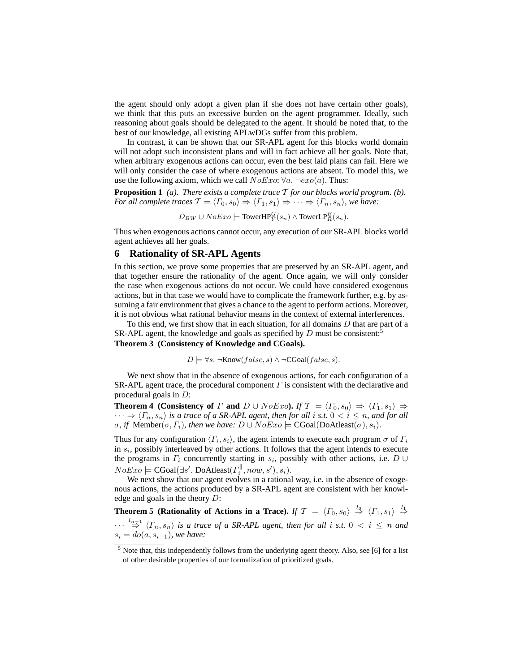the agent should only adopt a given plan if she does not have certain other goals), we think that this puts an excessive burden on the agent programmer. Ideally, such reasoning about goals should be delegated to the agent. It should be noted that, to the best of our knowledge, all existing APLwDGs suffer from this problem.

In contrast, it can be shown that our SR-APL agent for this blocks world domain will not adopt such inconsistent plans and will in fact achieve all her goals. Note that, when arbitrary exogenous actions can occur, even the best laid plans can fail. Here we will only consider the case of where exogenous actions are absent. To model this, we use the following axiom, which we call  $NoExo: \forall a. \neg exo(a)$ . Thus:

**Proposition 1** *(a). There exists a complete trace* T *for our blocks world program. (b). For all complete traces*  $\mathcal{T} = \langle \Gamma_0, s_0 \rangle \Rightarrow \langle \Gamma_1, s_1 \rangle \Rightarrow \cdots \Rightarrow \langle \Gamma_n, s_n \rangle$ *, we have:* 

 $D_{BW} \cup NoExo \models \text{TowerHP}_{\bar{Y}}^G(s_n) \wedge \text{TowerLP}_{\bar{R}}^B(s_n).$ 

Thus when exogenous actions cannot occur, any execution of our SR-APL blocks world agent achieves all her goals.

## **6 Rationality of SR-APL Agents**

In this section, we prove some properties that are preserved by an SR-APL agent, and that together ensure the rationality of the agent. Once again, we will only consider the case when exogenous actions do not occur. We could have considered exogenous actions, but in that case we would have to complicate the framework further, e.g. by assuming a fair environment that gives a chance to the agent to perform actions. Moreover, it is not obvious what rational behavior means in the context of external interferences.

To this end, we first show that in each situation, for all domains  $D$  that are part of a SR-APL agent, the knowledge and goals as specified by D must be consistent:<sup>5</sup>

**Theorem 3 (Consistency of Knowledge and CGoals).**

$$
D \models \forall s. \ \neg \text{Know}(false, s) \land \neg \text{CGoal}(false, s).
$$

We next show that in the absence of exogenous actions, for each configuration of a SR-APL agent trace, the procedural component  $\Gamma$  is consistent with the declarative and procedural goals in D:

**Theorem 4 (Consistency of**  $\Gamma$  **and**  $D \cup NoExo$ ). If  $\mathcal{T} = \langle \Gamma_0, s_0 \rangle \Rightarrow \langle \Gamma_1, s_1 \rangle \Rightarrow$  $\cdots \Rightarrow \langle \Gamma_n, s_n \rangle$  *is a trace of a SR-APL agent, then for all i s.t.*  $0 < i \leq n$ *, and for all σ*, *if* Member(*σ*, Γ<sub>*i*</sub>), then we have:  $D ∪ NoExo$   $\models$  CGoal(DoAtleast(*σ*),  $s_i$ ).

Thus for any configuration  $\langle \Gamma_i, s_i \rangle$ , the agent intends to execute each program  $\sigma$  of  $\Gamma_i$ in  $s_i$ , possibly interleaved by other actions. It follows that the agent intends to execute the programs in  $\Gamma_i$  concurrently starting in  $s_i$ , possibly with other actions, i.e. D ∪  $NoExo \models \text{CGoal}(\exists s'.\text{ DoAtleast}(T_i^{\parallel}, now, s'), s_i).$ 

We next show that our agent evolves in a rational way, i.e. in the absence of exogenous actions, the actions produced by a SR-APL agent are consistent with her knowledge and goals in the theory D:

**Theorem 5 (Rationality of Actions in a Trace).** *If*  $\mathcal{T} = \langle \Gamma_0, s_0 \rangle \stackrel{l_0}{\Rightarrow} \langle \Gamma_1, s_1 \rangle \stackrel{l_1}{\Rightarrow}$  $\cdots \stackrel{l_{n-1}}{\Rightarrow} \langle \Gamma_n, s_n \rangle$  is a trace of a SR-APL agent, then for all i s.t.  $0 < i \leq n$  and  $s_i = do(a, s_{i-1})$ *, we have:* 

 $<sup>5</sup>$  Note that, this independently follows from the underlying agent theory. Also, see [6] for a list</sup> of other desirable properties of our formalization of prioritized goals.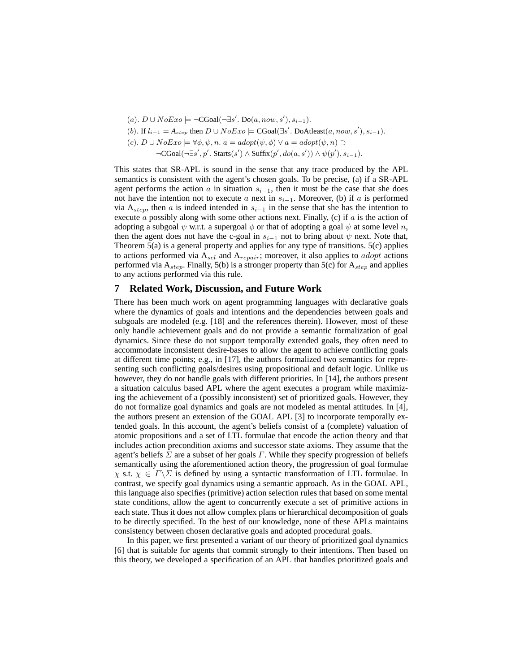- (a).  $D \cup NoExo$   $\models \neg CGoal(\neg \exists s'. Do(a, now, s'), s_{i-1}).$
- (b). If  $l_{i-1} = A_{step}$  then  $D \cup NoExo$   $\models$  CGoal( $\exists s'$ . DoAtleast $(a, now, s'), s_{i-1}$ ).
- (c).  $D \cup NoExo \models \forall \phi, \psi, n. a = adopt(\psi, \phi) \lor a = adopt(\psi, n) \supset$ 
	- $\neg \text{CGoal}(\neg \exists s', p'. \text{Starts}(s') \land \text{Suffix}(p', do(a, s')) \land \psi(p'), s_{i-1}).$

This states that SR-APL is sound in the sense that any trace produced by the APL semantics is consistent with the agent's chosen goals. To be precise, (a) if a SR-APL agent performs the action a in situation  $s_{i-1}$ , then it must be the case that she does not have the intention not to execute a next in  $s_{i-1}$ . Moreover, (b) if a is performed via  $A_{step}$ , then a is indeed intended in  $s_{i-1}$  in the sense that she has the intention to execute  $\alpha$  possibly along with some other actions next. Finally, (c) if  $\alpha$  is the action of adopting a subgoal  $\psi$  w.r.t. a supergoal  $\phi$  or that of adopting a goal  $\psi$  at some level n, then the agent does not have the c-goal in  $s_{i-1}$  not to bring about  $\psi$  next. Note that, Theorem  $5(a)$  is a general property and applies for any type of transitions.  $5(c)$  applies to actions performed via  $A_{sel}$  and  $A_{regular}$ ; moreover, it also applies to *adopt* actions performed via  $A_{step}$ . Finally, 5(b) is a stronger property than 5(c) for  $A_{step}$  and applies to any actions performed via this rule.

#### **7 Related Work, Discussion, and Future Work**

There has been much work on agent programming languages with declarative goals where the dynamics of goals and intentions and the dependencies between goals and subgoals are modeled (e.g. [18] and the references therein). However, most of these only handle achievement goals and do not provide a semantic formalization of goal dynamics. Since these do not support temporally extended goals, they often need to accommodate inconsistent desire-bases to allow the agent to achieve conflicting goals at different time points; e.g., in [17], the authors formalized two semantics for representing such conflicting goals/desires using propositional and default logic. Unlike us however, they do not handle goals with different priorities. In [14], the authors present a situation calculus based APL where the agent executes a program while maximizing the achievement of a (possibly inconsistent) set of prioritized goals. However, they do not formalize goal dynamics and goals are not modeled as mental attitudes. In [4], the authors present an extension of the GOAL APL [3] to incorporate temporally extended goals. In this account, the agent's beliefs consist of a (complete) valuation of atomic propositions and a set of LTL formulae that encode the action theory and that includes action precondition axioms and successor state axioms. They assume that the agent's beliefs  $\Sigma$  are a subset of her goals  $\Gamma$ . While they specify progression of beliefs semantically using the aforementioned action theory, the progression of goal formulae  $\chi$  s.t.  $\chi \in \Gamma \backslash \Sigma$  is defined by using a syntactic transformation of LTL formulae. In contrast, we specify goal dynamics using a semantic approach. As in the GOAL APL, this language also specifies (primitive) action selection rules that based on some mental state conditions, allow the agent to concurrently execute a set of primitive actions in each state. Thus it does not allow complex plans or hierarchical decomposition of goals to be directly specified. To the best of our knowledge, none of these APLs maintains consistency between chosen declarative goals and adopted procedural goals.

In this paper, we first presented a variant of our theory of prioritized goal dynamics [6] that is suitable for agents that commit strongly to their intentions. Then based on this theory, we developed a specification of an APL that handles prioritized goals and